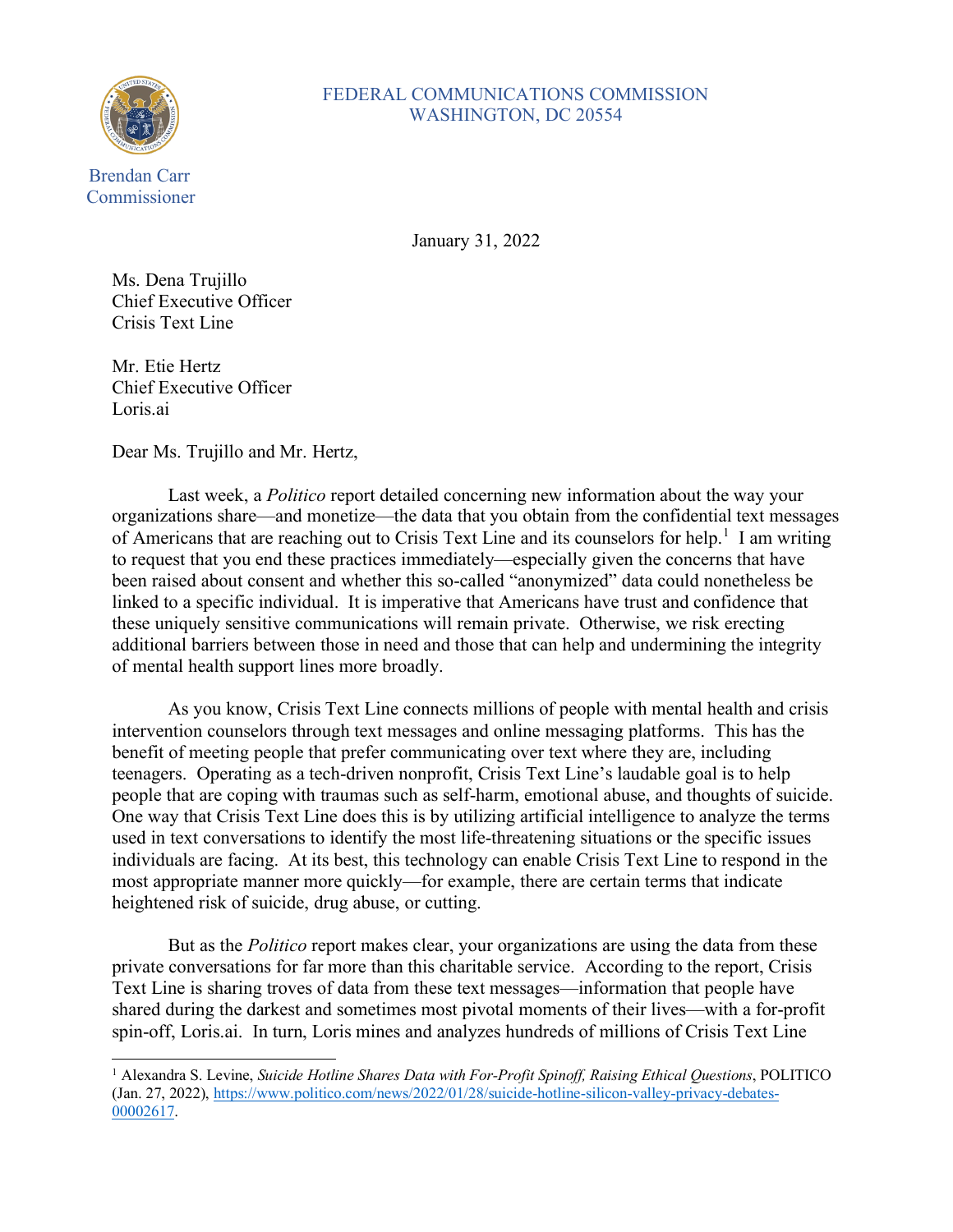

## FEDERAL COMMUNICATIONS COMMISSION WASHINGTON, DC 20554

January 31, 2022

Ms. Dena Trujillo Chief Executive Officer Crisis Text Line

Mr. Etie Hertz Chief Executive Officer Loris.ai

Dear Ms. Trujillo and Mr. Hertz,

Last week, a *Politico* report detailed concerning new information about the way your organizations share—and monetize—the data that you obtain from the confidential text messages of Americans that are reaching out to Crisis Text Line and its counselors for help.<sup>[1](#page-0-0)</sup> I am writing to request that you end these practices immediately—especially given the concerns that have been raised about consent and whether this so-called "anonymized" data could nonetheless be linked to a specific individual. It is imperative that Americans have trust and confidence that these uniquely sensitive communications will remain private. Otherwise, we risk erecting additional barriers between those in need and those that can help and undermining the integrity of mental health support lines more broadly.

As you know, Crisis Text Line connects millions of people with mental health and crisis intervention counselors through text messages and online messaging platforms. This has the benefit of meeting people that prefer communicating over text where they are, including teenagers. Operating as a tech-driven nonprofit, Crisis Text Line's laudable goal is to help people that are coping with traumas such as self-harm, emotional abuse, and thoughts of suicide. One way that Crisis Text Line does this is by utilizing artificial intelligence to analyze the terms used in text conversations to identify the most life-threatening situations or the specific issues individuals are facing. At its best, this technology can enable Crisis Text Line to respond in the most appropriate manner more quickly—for example, there are certain terms that indicate heightened risk of suicide, drug abuse, or cutting.

But as the *Politico* report makes clear, your organizations are using the data from these private conversations for far more than this charitable service. According to the report, Crisis Text Line is sharing troves of data from these text messages—information that people have shared during the darkest and sometimes most pivotal moments of their lives—with a for-profit spin-off, Loris.ai. In turn, Loris mines and analyzes hundreds of millions of Crisis Text Line

<span id="page-0-0"></span><sup>1</sup> Alexandra S. Levine, *Suicide Hotline Shares Data with For-Profit Spinoff, Raising Ethical Questions*, POLITICO (Jan. 27, 2022), [https://www.politico.com/news/2022/01/28/suicide-hotline-silicon-valley-privacy-debates-](https://www.politico.com/news/2022/01/28/suicide-hotline-silicon-valley-privacy-debates-00002617)[00002617.](https://www.politico.com/news/2022/01/28/suicide-hotline-silicon-valley-privacy-debates-00002617)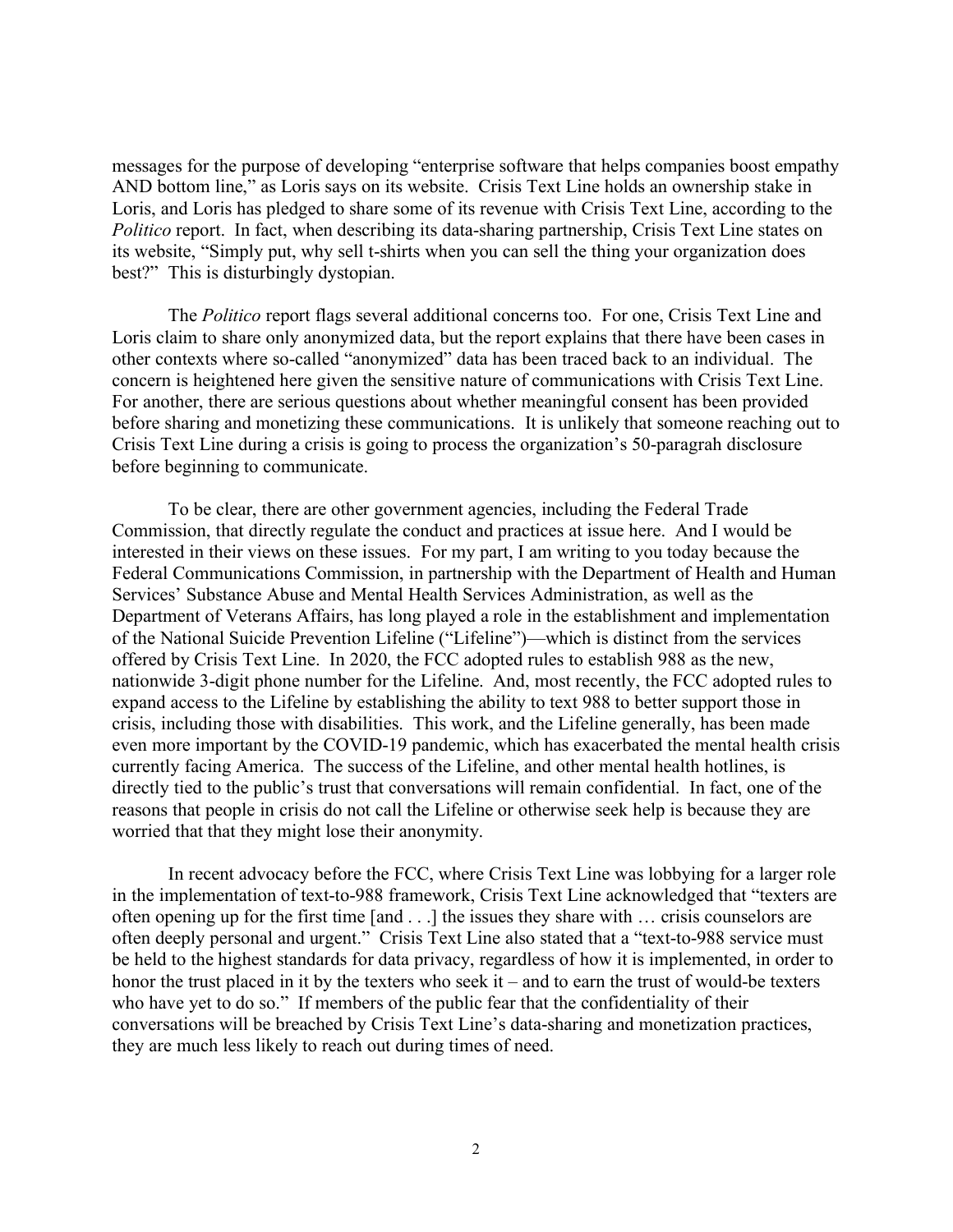messages for the purpose of developing "enterprise software that helps companies boost empathy AND bottom line," as Loris says on its website. Crisis Text Line holds an ownership stake in Loris, and Loris has pledged to share some of its revenue with Crisis Text Line, according to the *Politico* report. In fact, when describing its data-sharing partnership, Crisis Text Line states on its website, "Simply put, why sell t-shirts when you can sell the thing your organization does best?" This is disturbingly dystopian.

The *Politico* report flags several additional concerns too. For one, Crisis Text Line and Loris claim to share only anonymized data, but the report explains that there have been cases in other contexts where so-called "anonymized" data has been traced back to an individual. The concern is heightened here given the sensitive nature of communications with Crisis Text Line. For another, there are serious questions about whether meaningful consent has been provided before sharing and monetizing these communications. It is unlikely that someone reaching out to Crisis Text Line during a crisis is going to process the organization's 50-paragrah disclosure before beginning to communicate.

To be clear, there are other government agencies, including the Federal Trade Commission, that directly regulate the conduct and practices at issue here. And I would be interested in their views on these issues. For my part, I am writing to you today because the Federal Communications Commission, in partnership with the Department of Health and Human Services' Substance Abuse and Mental Health Services Administration, as well as the Department of Veterans Affairs, has long played a role in the establishment and implementation of the National Suicide Prevention Lifeline ("Lifeline")—which is distinct from the services offered by Crisis Text Line. In 2020, the FCC adopted rules to establish 988 as the new, nationwide 3-digit phone number for the Lifeline. And, most recently, the FCC adopted rules to expand access to the Lifeline by establishing the ability to text 988 to better support those in crisis, including those with disabilities. This work, and the Lifeline generally, has been made even more important by the COVID-19 pandemic, which has exacerbated the mental health crisis currently facing America. The success of the Lifeline, and other mental health hotlines, is directly tied to the public's trust that conversations will remain confidential. In fact, one of the reasons that people in crisis do not call the Lifeline or otherwise seek help is because they are worried that that they might lose their anonymity.

In recent advocacy before the FCC, where Crisis Text Line was lobbying for a larger role in the implementation of text-to-988 framework, Crisis Text Line acknowledged that "texters are often opening up for the first time [and . . .] the issues they share with … crisis counselors are often deeply personal and urgent." Crisis Text Line also stated that a "text-to-988 service must be held to the highest standards for data privacy, regardless of how it is implemented, in order to honor the trust placed in it by the texters who seek it – and to earn the trust of would-be texters who have yet to do so." If members of the public fear that the confidentiality of their conversations will be breached by Crisis Text Line's data-sharing and monetization practices, they are much less likely to reach out during times of need.